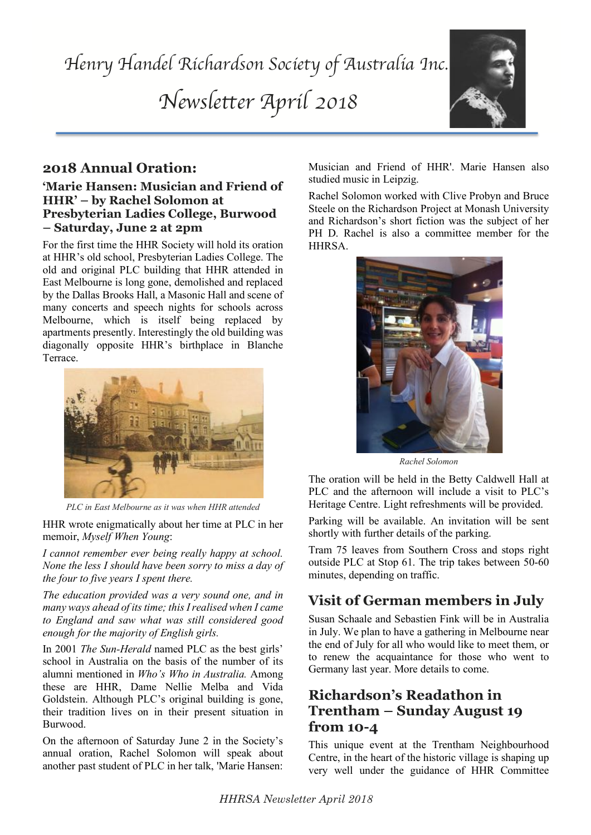*Newsletter April 2018*



## **2018 Annual Oration:**

#### **Presbyterian Ladies College, Burwood 'Marie Hansen: Musician and Friend of HHR' – by Rachel Solomon at – Saturday, June 2 at 2pm**

For the first time the HHR Society will hold its oration<br>
of HHP's ald seheal. Preshyterian Ladies Gallega, The diagonally opposite HHR's birthplace in Blanche at HHR's old school, Presbyterian Ladies College. The old and original PLC building that HHR attended in East Melbourne is long gone, demolished and replaced by the Dallas Brooks Hall, a Masonic Hall and scene of many concerts and speech nights for schools across Melbourne, which is itself being replaced by apartments presently. Interestingly the old building was Terrace.



*PLC in East Melbourne as it was when HHR attended*

HHR wrote enigmatically about her time at PLC in her memoir, *Myself When Young*:

*I cannot remember ever being really happy at school. None the less I should have been sorry to miss a day of the four to five years I spent there.*

*The education provided was a very sound one, and in many ways ahead of its time; this I realised when I came to England and saw what was still considered good enough for the majority of English girls.*

In 2001 *The Sun-Herald* named PLC as the best girls' school in Australia on the basis of the number of its alumni mentioned in *Who's Who in Australia.* Among these are HHR, Dame Nellie Melba and Vida Goldstein. Although PLC's original building is gone, their tradition lives on in their present situation in Burwood.

On the afternoon of Saturday June 2 in the Society's annual oration, Rachel Solomon will speak about another past student of PLC in her talk, 'Marie Hansen:

Musician and Friend of HHR'. Marie Hansen also studied music in Leipzig.

Rachel Solomon worked with Clive Probyn and Bruce Steele on the Richardson Project at Monash University and Richardson's short fiction was the subject of her PH D. Rachel is also a committee member for the **HHRSA** 



*Rachel Solomon*

The oration will be held in the Betty Caldwell Hall at PLC and the afternoon will include a visit to PLC's Heritage Centre. Light refreshments will be provided.

Parking will be available. An invitation will be sent shortly with further details of the parking.

Tram 75 leaves from Southern Cross and stops right outside PLC at Stop 61. The trip takes between 50-60 minutes, depending on traffic.

# **Visit of German members in July**

Susan Schaale and Sebastien Fink will be in Australia in July. We plan to have a gathering in Melbourne near the end of July for all who would like to meet them, or to renew the acquaintance for those who went to Germany last year. More details to come.

## **Richardson's Readathon in Trentham – Sunday August 19 from 10-4**

This unique event at the Trentham Neighbourhood Centre, in the heart of the historic village is shaping up very well under the guidance of HHR Committee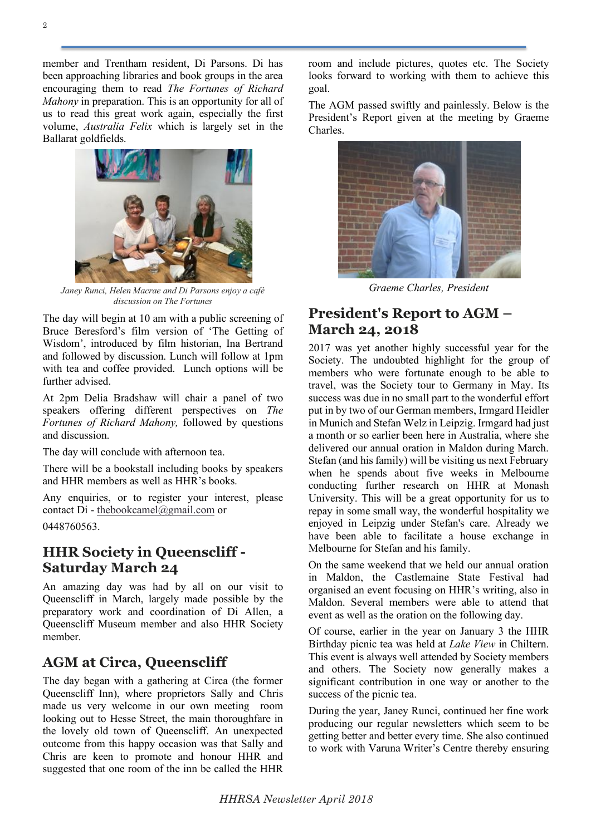member and Trentham resident, Di Parsons. Di has been approaching libraries and book groups in the area encouraging them to read *The Fortunes of Richard Mahony* in preparation. This is an opportunity for all of us to read this great work again, especially the first volume, *Australia Felix* which is largely set in the Ballarat goldfields.



*Janey Runci, Helen Macrae and Di Parsons enjoy a café discussion on The Fortunes*

The day will begin at 10 am with a public screening of Bruce Beresford's film version of 'The Getting of Wisdom', introduced by film historian, Ina Bertrand and followed by discussion. Lunch will follow at 1pm with tea and coffee provided. Lunch options will be further advised.

At 2pm Delia Bradshaw will chair a panel of two speakers offering different perspectives on *The Fortunes of Richard Mahony,* followed by questions and discussion.

The day will conclude with afternoon tea.

There will be a bookstall including books by speakers and HHR members as well as HHR's books.

Any enquiries, or to register your interest, please contact Di - thebookcamel@gmail.com or 0448760563.

## **HHR Society in Queenscliff - Saturday March 24**

An amazing day was had by all on our visit to Queenscliff in March, largely made possible by the preparatory work and coordination of Di Allen, a Queenscliff Museum member and also HHR Society member.

## **AGM at Circa, Queenscliff**

The day began with a gathering at Circa (the former Queenscliff Inn), where proprietors Sally and Chris made us very welcome in our own meeting room looking out to Hesse Street, the main thoroughfare in the lovely old town of Queenscliff. An unexpected outcome from this happy occasion was that Sally and Chris are keen to promote and honour HHR and suggested that one room of the inn be called the HHR room and include pictures, quotes etc. The Society looks forward to working with them to achieve this goal.

The AGM passed swiftly and painlessly. Below is the President's Report given at the meeting by Graeme Charles.



*Graeme Charles, President*

## **President's Report to AGM – March 24, 2018**

2017 was yet another highly successful year for the Society. The undoubted highlight for the group of members who were fortunate enough to be able to travel, was the Society tour to Germany in May. Its success was due in no small part to the wonderful effort put in by two of our German members, Irmgard Heidler in Munich and Stefan Welz in Leipzig. Irmgard had just a month or so earlier been here in Australia, where she delivered our annual oration in Maldon during March. Stefan (and his family) will be visiting us next February when he spends about five weeks in Melbourne conducting further research on HHR at Monash University. This will be a great opportunity for us to repay in some small way, the wonderful hospitality we enjoyed in Leipzig under Stefan's care. Already we have been able to facilitate a house exchange in Melbourne for Stefan and his family.

On the same weekend that we held our annual oration in Maldon, the Castlemaine State Festival had organised an event focusing on HHR's writing, also in Maldon. Several members were able to attend that event as well as the oration on the following day.

Of course, earlier in the year on January 3 the HHR Birthday picnic tea was held at *Lake View* in Chiltern. This event is always well attended by Society members and others. The Society now generally makes a significant contribution in one way or another to the success of the picnic tea.

During the year, Janey Runci, continued her fine work producing our regular newsletters which seem to be getting better and better every time. She also continued to work with Varuna Writer's Centre thereby ensuring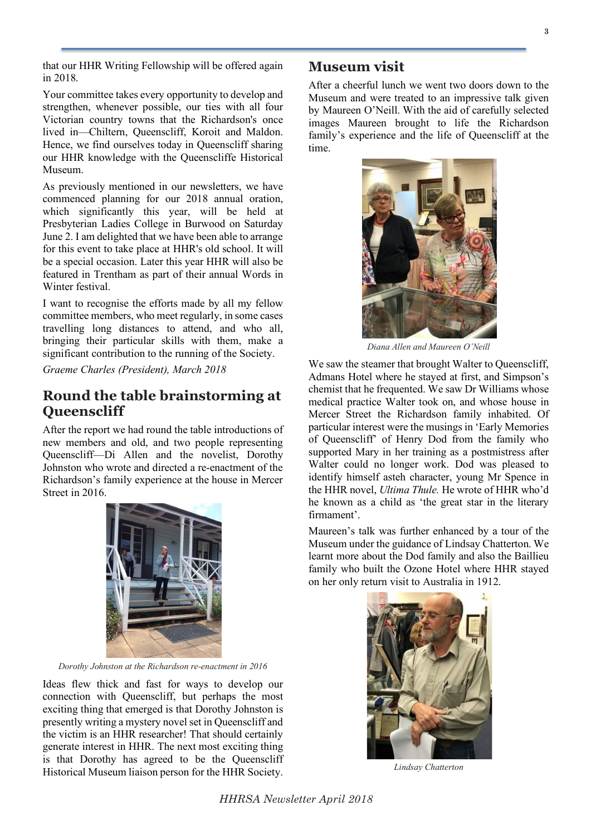that our HHR Writing Fellowship will be offered again in 2018.

Your committee takes every opportunity to develop and strengthen, whenever possible, our ties with all four Victorian country towns that the Richardson's once lived in—Chiltern, Queenscliff, Koroit and Maldon. Hence, we find ourselves today in Queenscliff sharing our HHR knowledge with the Queenscliffe Historical Museum.

As previously mentioned in our newsletters, we have commenced planning for our 2018 annual oration, which significantly this year, will be held at Presbyterian Ladies College in Burwood on Saturday June 2. I am delighted that we have been able to arrange for this event to take place at HHR's old school. It will be a special occasion. Later this year HHR will also be featured in Trentham as part of their annual Words in Winter festival.

I want to recognise the efforts made by all my fellow committee members, who meet regularly, in some cases travelling long distances to attend, and who all, bringing their particular skills with them, make a significant contribution to the running of the Society.

*Graeme Charles (President), March 2018*

### **Round the table brainstorming at Queenscliff**

After the report we had round the table introductions of new members and old, and two people representing Queenscliff—Di Allen and the novelist, Dorothy Johnston who wrote and directed a re-enactment of the Richardson's family experience at the house in Mercer Street in 2016.



*Dorothy Johnston at the Richardson re-enactment in 2016*

Ideas flew thick and fast for ways to develop our connection with Queenscliff, but perhaps the most exciting thing that emerged is that Dorothy Johnston is presently writing a mystery novel set in Queenscliff and the victim is an HHR researcher! That should certainly generate interest in HHR. The next most exciting thing is that Dorothy has agreed to be the Queenscliff Historical Museum liaison person for the HHR Society.

#### **Museum visit**

After a cheerful lunch we went two doors down to the Museum and were treated to an impressive talk given by Maureen O'Neill. With the aid of carefully selected images Maureen brought to life the Richardson family's experience and the life of Queenscliff at the time.



*Diana Allen and Maureen O'Neill*

We saw the steamer that brought Walter to Oueenscliff. Admans Hotel where he stayed at first, and Simpson's chemist that he frequented. We saw Dr Williams whose medical practice Walter took on, and whose house in Mercer Street the Richardson family inhabited. Of particular interest were the musings in 'Early Memories of Queenscliff' of Henry Dod from the family who supported Mary in her training as a postmistress after Walter could no longer work. Dod was pleased to identify himself asteh character, young Mr Spence in the HHR novel, *Ultima Thule.* He wrote of HHR who'd he known as a child as 'the great star in the literary firmament'.

Maureen's talk was further enhanced by a tour of the Museum under the guidance of Lindsay Chatterton. We learnt more about the Dod family and also the Baillieu family who built the Ozone Hotel where HHR stayed on her only return visit to Australia in 1912.



*Lindsay Chatterton*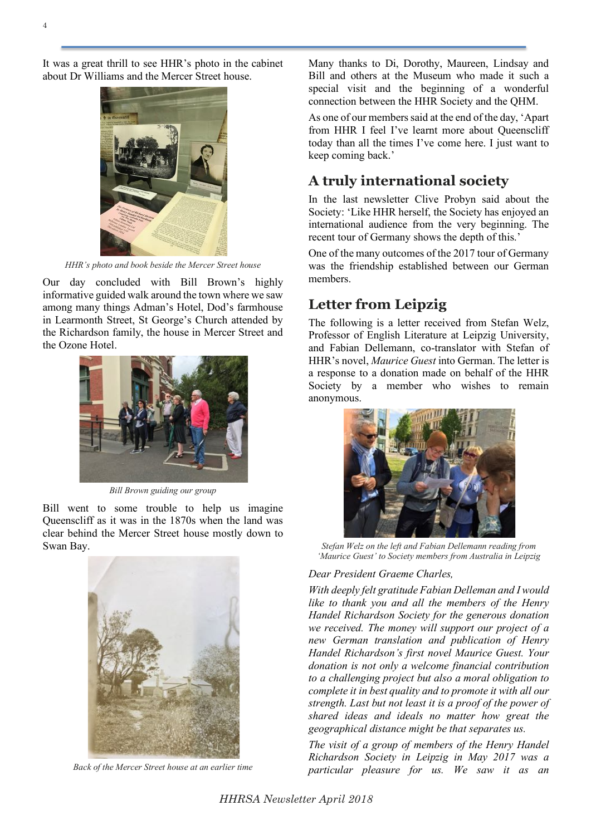It was a great thrill to see HHR's photo in the cabinet about Dr Williams and the Mercer Street house.



*HHR's photo and book beside the Mercer Street house*

Our day concluded with Bill Brown's highly informative guided walk around the town where we saw among many things Adman's Hotel, Dod's farmhouse in Learmonth Street, St George's Church attended by the Richardson family, the house in Mercer Street and the Ozone Hotel.



*Bill Brown guiding our group*

Bill went to some trouble to help us imagine Queenscliff as it was in the 1870s when the land was clear behind the Mercer Street house mostly down to Swan Bay.



*Back of the Mercer Street house at an earlier time*

Many thanks to Di, Dorothy, Maureen, Lindsay and Bill and others at the Museum who made it such a special visit and the beginning of a wonderful connection between the HHR Society and the QHM.

As one of our members said at the end of the day, 'Apart from HHR I feel I've learnt more about Queenscliff today than all the times I've come here. I just want to keep coming back.'

## **A truly international society**

In the last newsletter Clive Probyn said about the Society: 'Like HHR herself, the Society has enjoyed an international audience from the very beginning. The recent tour of Germany shows the depth of this.'

One of the many outcomes of the 2017 tour of Germany was the friendship established between our German members.

## **Letter from Leipzig**

The following is a letter received from Stefan Welz, Professor of English Literature at Leipzig University, and Fabian Dellemann, co-translator with Stefan of HHR's novel, *Maurice Guest* into German. The letter is a response to a donation made on behalf of the HHR Society by a member who wishes to remain anonymous.



*Stefan Welz on the left and Fabian Dellemann reading from 'Maurice Guest' to Society members from Australia in Leipzig*

#### *Dear President Graeme Charles,*

*With deeply felt gratitude Fabian Delleman and I would like to thank you and all the members of the Henry Handel Richardson Society for the generous donation we received. The money will support our project of a new German translation and publication of Henry Handel Richardson's first novel Maurice Guest. Your donation is not only a welcome financial contribution to a challenging project but also a moral obligation to complete it in best quality and to promote it with all our strength. Last but not least it is a proof of the power of shared ideas and ideals no matter how great the geographical distance might be that separates us.*

*The visit of a group of members of the Henry Handel Richardson Society in Leipzig in May 2017 was a particular pleasure for us. We saw it as an*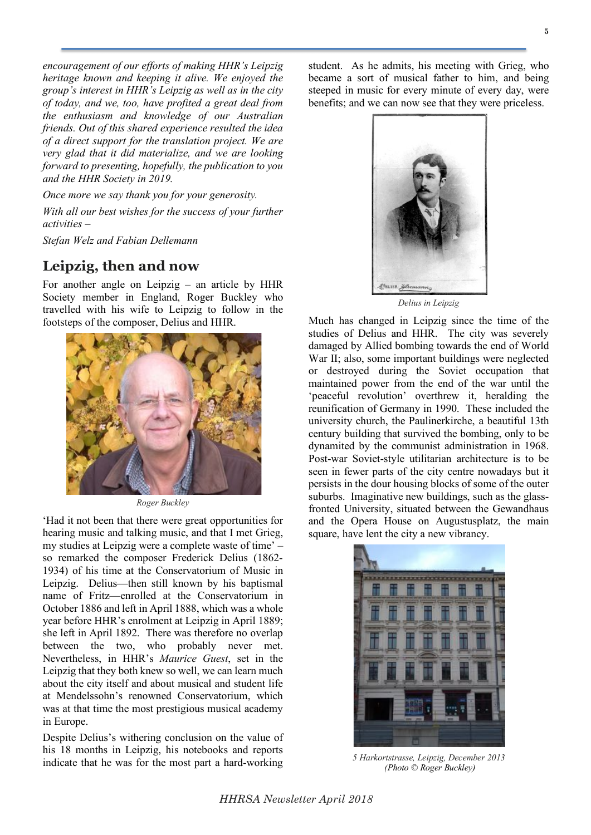*encouragement of our efforts of making HHR's Leipzig heritage known and keeping it alive. We enjoyed the group's interest in HHR's Leipzig as well as in the city of today, and we, too, have profited a great deal from the enthusiasm and knowledge of our Australian friends. Out of this shared experience resulted the idea of a direct support for the translation project. We are very glad that it did materialize, and we are looking forward to presenting, hopefully, the publication to you and the HHR Society in 2019.*

*Once more we say thank you for your generosity.*

*With all our best wishes for the success of your further activities –*

*Stefan Welz and Fabian Dellemann*

#### **Leipzig, then and now**

For another angle on Leipzig – an article by HHR Society member in England, Roger Buckley who travelled with his wife to Leipzig to follow in the footsteps of the composer, Delius and HHR.



*Roger Buckley*

'Had it not been that there were great opportunities for hearing music and talking music, and that I met Grieg, my studies at Leipzig were a complete waste of time' – so remarked the composer Frederick Delius (1862- 1934) of his time at the Conservatorium of Music in Leipzig. Delius—then still known by his baptismal name of Fritz—enrolled at the Conservatorium in October 1886 and left in April 1888, which was a whole year before HHR's enrolment at Leipzig in April 1889; she left in April 1892. There was therefore no overlap between the two, who probably never met. Nevertheless, in HHR's *Maurice Guest*, set in the Leipzig that they both knew so well, we can learn much about the city itself and about musical and student life at Mendelssohn's renowned Conservatorium, which was at that time the most prestigious musical academy in Europe.

Despite Delius's withering conclusion on the value of his 18 months in Leipzig, his notebooks and reports indicate that he was for the most part a hard-working

student. As he admits, his meeting with Grieg, who became a sort of musical father to him, and being steeped in music for every minute of every day, were benefits; and we can now see that they were priceless.



*Delius in Leipzig*

Much has changed in Leipzig since the time of the studies of Delius and HHR. The city was severely damaged by Allied bombing towards the end of World War II; also, some important buildings were neglected or destroyed during the Soviet occupation that maintained power from the end of the war until the 'peaceful revolution' overthrew it, heralding the reunification of Germany in 1990. These included the university church, the Paulinerkirche, a beautiful 13th century building that survived the bombing, only to be dynamited by the communist administration in 1968. Post-war Soviet-style utilitarian architecture is to be seen in fewer parts of the city centre nowadays but it persists in the dour housing blocks of some of the outer suburbs. Imaginative new buildings, such as the glassfronted University, situated between the Gewandhaus and the Opera House on Augustusplatz, the main square, have lent the city a new vibrancy.



*5 Harkortstrasse, Leipzig, December 2013 (Photo © Roger Buckley)*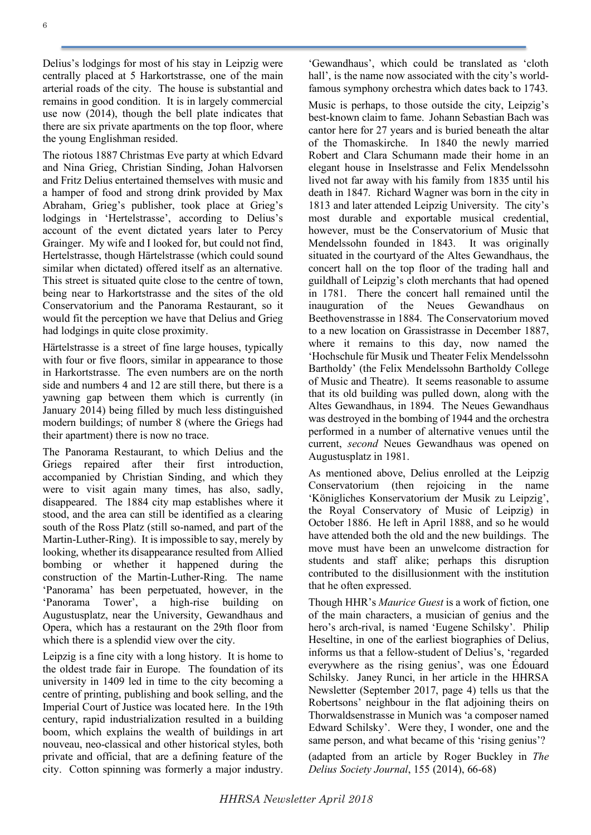Delius's lodgings for most of his stay in Leipzig were centrally placed at 5 Harkortstrasse, one of the main arterial roads of the city. The house is substantial and remains in good condition. It is in largely commercial use now (2014), though the bell plate indicates that there are six private apartments on the top floor, where the young Englishman resided.

The riotous 1887 Christmas Eve party at which Edvard and Nina Grieg, Christian Sinding, Johan Halvorsen and Fritz Delius entertained themselves with music and a hamper of food and strong drink provided by Max Abraham, Grieg's publisher, took place at Grieg's lodgings in 'Hertelstrasse', according to Delius's account of the event dictated years later to Percy Grainger. My wife and I looked for, but could not find, Hertelstrasse, though Härtelstrasse (which could sound similar when dictated) offered itself as an alternative. This street is situated quite close to the centre of town, being near to Harkortstrasse and the sites of the old Conservatorium and the Panorama Restaurant, so it would fit the perception we have that Delius and Grieg had lodgings in quite close proximity.

Härtelstrasse is a street of fine large houses, typically with four or five floors, similar in appearance to those in Harkortstrasse. The even numbers are on the north side and numbers 4 and 12 are still there, but there is a yawning gap between them which is currently (in January 2014) being filled by much less distinguished modern buildings; of number 8 (where the Griegs had their apartment) there is now no trace.

The Panorama Restaurant, to which Delius and the Griegs repaired after their first introduction, accompanied by Christian Sinding, and which they were to visit again many times, has also, sadly, disappeared. The 1884 city map establishes where it stood, and the area can still be identified as a clearing south of the Ross Platz (still so-named, and part of the Martin-Luther-Ring). It is impossible to say, merely by looking, whether its disappearance resulted from Allied bombing or whether it happened during the construction of the Martin-Luther-Ring. The name 'Panorama' has been perpetuated, however, in the 'Panorama Tower', a high-rise building on Augustusplatz, near the University, Gewandhaus and Opera, which has a restaurant on the 29th floor from which there is a splendid view over the city.

Leipzig is a fine city with a long history. It is home to the oldest trade fair in Europe. The foundation of its university in 1409 led in time to the city becoming a centre of printing, publishing and book selling, and the Imperial Court of Justice was located here. In the 19th century, rapid industrialization resulted in a building boom, which explains the wealth of buildings in art nouveau, neo-classical and other historical styles, both private and official, that are a defining feature of the city. Cotton spinning was formerly a major industry.

'Gewandhaus', which could be translated as 'cloth hall', is the name now associated with the city's worldfamous symphony orchestra which dates back to 1743.

Music is perhaps, to those outside the city, Leipzig's best-known claim to fame. Johann Sebastian Bach was cantor here for 27 years and is buried beneath the altar of the Thomaskirche. In 1840 the newly married Robert and Clara Schumann made their home in an elegant house in Inselstrasse and Felix Mendelssohn lived not far away with his family from 1835 until his death in 1847. Richard Wagner was born in the city in 1813 and later attended Leipzig University. The city's most durable and exportable musical credential, however, must be the Conservatorium of Music that Mendelssohn founded in 1843. It was originally situated in the courtyard of the Altes Gewandhaus, the concert hall on the top floor of the trading hall and guildhall of Leipzig's cloth merchants that had opened in 1781. There the concert hall remained until the inauguration of the Neues Gewandhaus on Beethovenstrasse in 1884. The Conservatorium moved to a new location on Grassistrasse in December 1887, where it remains to this day, now named the 'Hochschule für Musik und Theater Felix Mendelssohn Bartholdy' (the Felix Mendelssohn Bartholdy College of Music and Theatre). It seems reasonable to assume that its old building was pulled down, along with the Altes Gewandhaus, in 1894. The Neues Gewandhaus was destroyed in the bombing of 1944 and the orchestra performed in a number of alternative venues until the current, *second* Neues Gewandhaus was opened on Augustusplatz in 1981.

As mentioned above, Delius enrolled at the Leipzig Conservatorium (then rejoicing in the name 'Königliches Konservatorium der Musik zu Leipzig', the Royal Conservatory of Music of Leipzig) in October 1886. He left in April 1888, and so he would have attended both the old and the new buildings. The move must have been an unwelcome distraction for students and staff alike; perhaps this disruption contributed to the disillusionment with the institution that he often expressed.

Though HHR's *Maurice Guest* is a work of fiction, one of the main characters, a musician of genius and the hero's arch-rival, is named 'Eugene Schilsky'. Philip Heseltine, in one of the earliest biographies of Delius, informs us that a fellow-student of Delius's, 'regarded everywhere as the rising genius', was one Édouard Schilsky. Janey Runci, in her article in the HHRSA Newsletter (September 2017, page 4) tells us that the Robertsons' neighbour in the flat adjoining theirs on Thorwaldsenstrasse in Munich was 'a composer named Edward Schilsky'. Were they, I wonder, one and the same person, and what became of this 'rising genius'?

(adapted from an article by Roger Buckley in *The Delius Society Journal*, 155 (2014), 66-68)